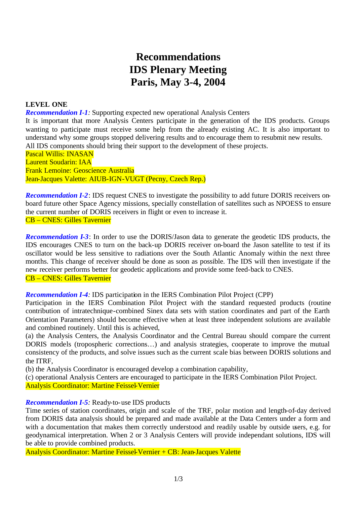# **Recommendations IDS Plenary Meeting Paris, May 3-4, 2004**

#### **LEVEL ONE**

*Recommendation I-1:* Supporting expected new operational Analysis Centers

It is important that more Analysis Centers participate in the generation of the IDS products. Groups wanting to participate must receive some help from the already existing AC. It is also important to understand why some groups stopped delivering results and to encourage them to resubmit new results. All IDS components should bring their support to the development of these projects.

Pascal Willis: INASAN Laurent Soudarin: IAA Frank Lemoine: Geoscience Australia Jean-Jacques Valette: AIUB-IGN-VUGT (Pecny, Czech Rep.)

*Recommendation I-2*: IDS request CNES to investigate the possibility to add future DORIS receivers onboard future other Space Agency missions, specially constellation of satellites such as NPOESS to ensure the current number of DORIS receivers in flight or even to increase it. CB – CNES: Gilles Tavernier

*Recommendation I-3*: In order to use the DORIS/Jason data to generate the geodetic IDS products, the IDS encourages CNES to turn on the back-up DORIS receiver on-board the Jason satellite to test if its oscillator would be less sensitive to radiations over the South Atlantic Anomaly within the next three months. This change of receiver should be done as soon as possible. The IDS will then investigate if the new receiver performs better for geodetic applications and provide some feed-back to CNES. CB – CNES: Gilles Tavernier

#### *Recommendation I-4:* IDS participation in the IERS Combination Pilot Project (CPP)

Participation in the IERS Combination Pilot Project with the standard requested products (routine contribution of intratechnique-combined Sinex data sets with station coordinates and part of the Earth Orientation Parameters) should become effective when at least three independent solutions are available and combined routinely. Until this is achieved,

(a) the Analysis Centers, the Analysis Coordinator and the Central Bureau should compare the current DORIS models (tropospheric corrections…) and analysis strategies, cooperate to improve the mutual consistency of the products, and solve issues such as the current scale bias between DORIS solutions and the ITRF,

(b) the Analysis Coordinator is encouraged develop a combination capability,

(c) operational Analysis Centers are encouraged to participate in the IERS Combination Pilot Project. Analysis Coordinator: Martine Feissel-Vernier

#### *Recommendation I-5:* Ready-to-use IDS products

Time series of station coordinates, origin and scale of the TRF, polar motion and length-of-day derived from DORIS data analysis should be prepared and made available at the Data Centers under a form and with a documentation that makes them correctly understood and readily usable by outside users, e.g. for geodynamical interpretation. When 2 or 3 Analysis Centers will provide independant solutions, IDS will be able to provide combined products.

Analysis Coordinator: Martine Feissel-Vernier + CB: Jean-Jacques Valette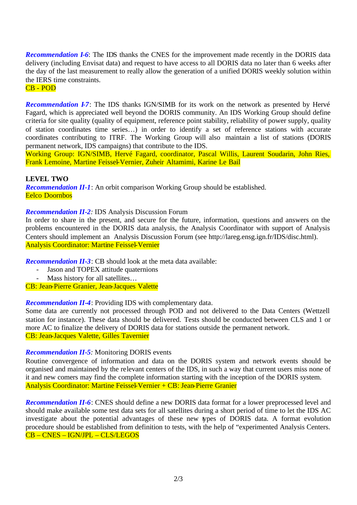*Recommendation I-6*: The IDS thanks the CNES for the improvement made recently in the DORIS data delivery (including Envisat data) and request to have access to all DORIS data no later than 6 weeks after the day of the last measurement to really allow the generation of a unified DORIS weekly solution within the IERS time constraints.

CB - POD

*Recommendation I-7*: The IDS thanks IGN/SIMB for its work on the network as presented by Hervé Fagard, which is appreciated well beyond the DORIS community. An IDS Working Group should define criteria for site quality (quality of equipment, reference point stability, reliability of power supply, quality of station coordinates time series…) in order to identify a set of reference stations with accurate coordinates contributing to ITRF. The Working Group will also maintain a list of stations (DORIS permanent network, IDS campaigns) that contribute to the IDS.

Working Group: IGN/SIMB, Hervé Fagard, coordinator, Pascal Willis, Laurent Soudarin, John Ries, Frank Lemoine, Martine Feissel-Vernier, Zuheir Altamimi, Karine Le Bail

**LEVEL TWO** *Recommendation II-1*: An orbit comparison Working Group should be established. Eelco Doornbos

## *Recommendation II-2:* IDS Analysis Discussion Forum

In order to share in the present, and secure for the future, information, questions and answers on the problems encountered in the DORIS data analysis, the Analysis Coordinator with support of Analysis Centers should implement an Analysis Discussion Forum (see http://lareg.ensg.ign.fr/IDS/disc.html). Analysis Coordinator: Martine Feissel-Vernier

*Recommendation II-3*: CB should look at the meta data available:

- Jason and TOPEX attitude quaternions
	- Mass history for all satellites...

CB: Jean-Pierre Granier, Jean-Jacques Valette

*Recommendation II-4*: Providing IDS with complementary data.

Some data are currently not processed through POD and not delivered to the Data Centers (Wettzell station for instance). These data should be delivered. Tests should be conducted between CLS and 1 or more AC to finalize the delivery of DORIS data for stations outside the permanent network. CB: Jean-Jacques Valette, Gilles Tavernier

### *Recommendation II-5:* Monitoring DORIS events

Routine convergence of information and data on the DORIS system and network events should be organised and maintained by the relevant centers of the IDS, in such a way that current users miss none of it and new comers may find the complete information starting with the inception of the DORIS system. Analysis Coordinator: Martine Feissel-Vernier + CB: Jean-Pierre Granier

*Recommendation II-6*: CNES should define a new DORIS data format for a lower preprocessed level and should make available some test data sets for all satellites during a short period of time to let the IDS AC investigate about the potential advantages of these new types of DORIS data. A format evolution procedure should be established from definition to tests, with the help of "experimented Analysis Centers. CB – CNES – IGN/JPL – CLS/LEGOS